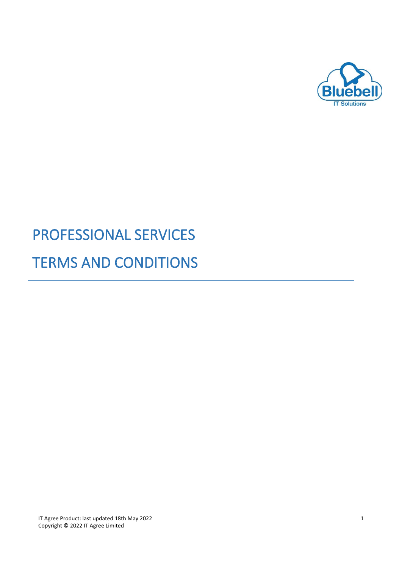

# PROFESSIONAL SERVICES TERMS AND CONDITIONS

IT Agree Product: last updated 18th May 2022 1 Copyright © 2022 IT Agree Limited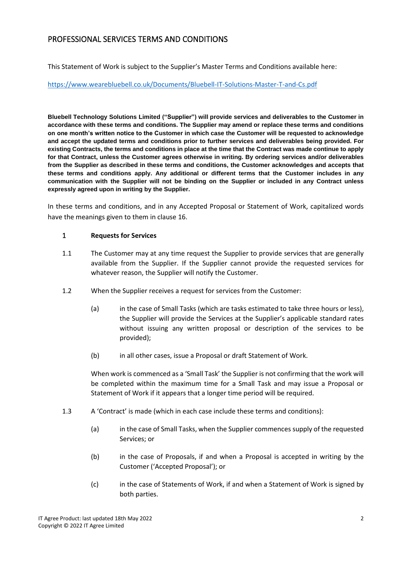## PROFESSIONAL SERVICES TERMS AND CONDITIONS

This Statement of Work is subject to the Supplier's Master Terms and Conditions available here:

#### <https://www.wearebluebell.co.uk/Documents/Bluebell-IT-Solutions-Master-T-and-Cs.pdf>

**Bluebell Technology Solutions Limited ("Supplier") will provide services and deliverables to the Customer in accordance with these terms and conditions. The Supplier may amend or replace these terms and conditions on one month's written notice to the Customer in which case the Customer will be requested to acknowledge and accept the updated terms and conditions prior to further services and deliverables being provided. For existing Contracts, the terms and conditions in place at the time that the Contract was made continue to apply for that Contract, unless the Customer agrees otherwise in writing. By ordering services and/or deliverables from the Supplier as described in these terms and conditions, the Customer acknowledges and accepts that these terms and conditions apply. Any additional or different terms that the Customer includes in any communication with the Supplier will not be binding on the Supplier or included in any Contract unless expressly agreed upon in writing by the Supplier.**

In these terms and conditions, and in any Accepted Proposal or Statement of Work, capitalized words have the meanings given to them in clause 16.

#### 1 **Requests for Services**

- 1.1 The Customer may at any time request the Supplier to provide services that are generally available from the Supplier. If the Supplier cannot provide the requested services for whatever reason, the Supplier will notify the Customer.
- 1.2 When the Supplier receives a request for services from the Customer:
	- (a) in the case of Small Tasks (which are tasks estimated to take three hours or less), the Supplier will provide the Services at the Supplier's applicable standard rates without issuing any written proposal or description of the services to be provided);
	- (b) in all other cases, issue a Proposal or draft Statement of Work.

When work is commenced as a 'Small Task' the Supplier is not confirming that the work will be completed within the maximum time for a Small Task and may issue a Proposal or Statement of Work if it appears that a longer time period will be required.

- 1.3 A 'Contract' is made (which in each case include these terms and conditions):
	- (a) in the case of Small Tasks, when the Supplier commences supply of the requested Services; or
	- (b) in the case of Proposals, if and when a Proposal is accepted in writing by the Customer ('Accepted Proposal'); or
	- (c) in the case of Statements of Work, if and when a Statement of Work is signed by both parties.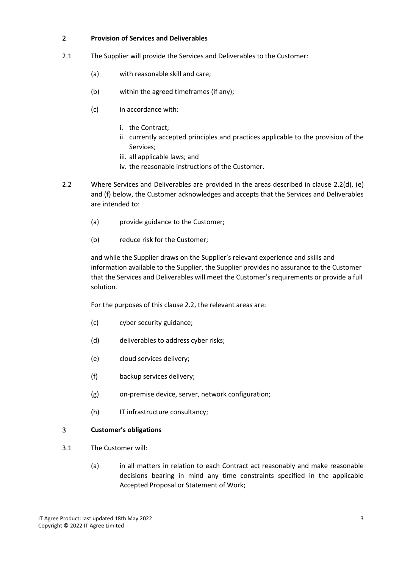#### 2 **Provision of Services and Deliverables**

- 2.1 The Supplier will provide the Services and Deliverables to the Customer:
	- (a) with reasonable skill and care;
	- (b) within the agreed timeframes (if any);
	- (c) in accordance with:
		- i. the Contract;
		- ii. currently accepted principles and practices applicable to the provision of the Services;
		- iii. all applicable laws; and
		- iv. the reasonable instructions of the Customer.
- 2.2 Where Services and Deliverables are provided in the areas described in clause 2.2(d), (e) and (f) below, the Customer acknowledges and accepts that the Services and Deliverables are intended to:
	- (a) provide guidance to the Customer;
	- (b) reduce risk for the Customer;

and while the Supplier draws on the Supplier's relevant experience and skills and information available to the Supplier, the Supplier provides no assurance to the Customer that the Services and Deliverables will meet the Customer's requirements or provide a full solution.

For the purposes of this clause 2.2, the relevant areas are:

- (c) cyber security guidance;
- (d) deliverables to address cyber risks;
- (e) cloud services delivery;
- (f) backup services delivery;
- (g) on-premise device, server, network configuration;
- (h) IT infrastructure consultancy;

#### 3 **Customer's obligations**

- 3.1 The Customer will:
	- (a) in all matters in relation to each Contract act reasonably and make reasonable decisions bearing in mind any time constraints specified in the applicable Accepted Proposal or Statement of Work;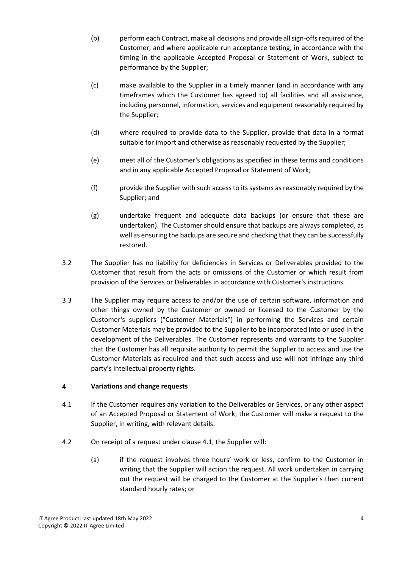- (b) perform each Contract, make all decisions and provide all sign-offs required of the Customer, and where applicable run acceptance testing, in accordance with the timing in the applicable Accepted Proposal or Statement of Work, subject to performance by the Supplier;
- (c) make available to the Supplier in a timely manner (and in accordance with any timeframes which the Customer has agreed to) all facilities and all assistance, including personnel, information, services and equipment reasonably required by the Supplier;
- (d) where required to provide data to the Supplier, provide that data in a format suitable for import and otherwise as reasonably requested by the Supplier;
- (e) meet all of the Customer's obligations as specified in these terms and conditions and in any applicable Accepted Proposal or Statement of Work;
- (f) provide the Supplier with such access to its systems as reasonably required by the Supplier; and
- (g) undertake frequent and adequate data backups (or ensure that these are undertaken). The Customer should ensure that backups are always completed, as well as ensuring the backups are secure and checking that they can be successfully restored.
- 3.2 The Supplier has no liability for deficiencies in Services or Deliverables provided to the Customer that result from the acts or omissions of the Customer or which result from provision of the Services or Deliverables in accordance with Customer's instructions.
- 3.3 The Supplier may require access to and/or the use of certain software, information and other things owned by the Customer or owned or licensed to the Customer by the Customer's suppliers ("Customer Materials") in performing the Services and certain Customer Materials may be provided to the Supplier to be incorporated into or used in the development of the Deliverables. The Customer represents and warrants to the Supplier that the Customer has all requisite authority to permit the Supplier to access and use the Customer Materials as required and that such access and use will not infringe any third party's intellectual property rights.

## 4 **Variations and change requests**

- 4.1 If the Customer requires any variation to the Deliverables or Services, or any other aspect of an Accepted Proposal or Statement of Work, the Customer will make a request to the Supplier, in writing, with relevant details.
- 4.2 On receipt of a request under clause 4.1, the Supplier will:
	- (a) if the request involves three hours' work or less, confirm to the Customer in writing that the Supplier will action the request. All work undertaken in carrying out the request will be charged to the Customer at the Supplier's then current standard hourly rates; or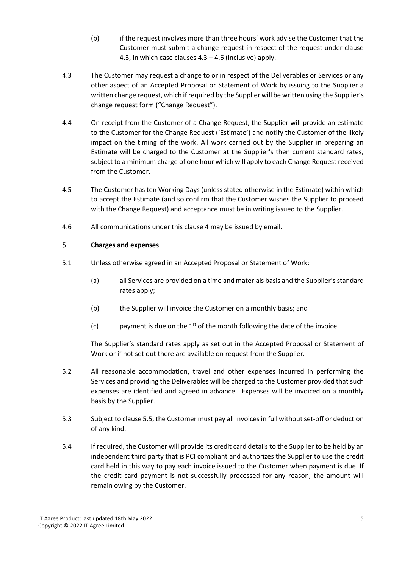- (b) if the request involves more than three hours' work advise the Customer that the Customer must submit a change request in respect of the request under clause 4.3, in which case clauses 4.3 – 4.6 (inclusive) apply.
- 4.3 The Customer may request a change to or in respect of the Deliverables or Services or any other aspect of an Accepted Proposal or Statement of Work by issuing to the Supplier a written change request, which if required by the Supplier will be written using the Supplier's change request form ("Change Request").
- 4.4 On receipt from the Customer of a Change Request, the Supplier will provide an estimate to the Customer for the Change Request ('Estimate') and notify the Customer of the likely impact on the timing of the work. All work carried out by the Supplier in preparing an Estimate will be charged to the Customer at the Supplier's then current standard rates, subject to a minimum charge of one hour which will apply to each Change Request received from the Customer.
- 4.5 The Customer has ten Working Days (unless stated otherwise in the Estimate) within which to accept the Estimate (and so confirm that the Customer wishes the Supplier to proceed with the Change Request) and acceptance must be in writing issued to the Supplier.
- 4.6 All communications under this clause 4 may be issued by email.

## 5 **Charges and expenses**

- 5.1 Unless otherwise agreed in an Accepted Proposal or Statement of Work:
	- (a) all Services are provided on a time and materials basis and the Supplier's standard rates apply;
	- (b) the Supplier will invoice the Customer on a monthly basis; and
	- (c) payment is due on the  $1<sup>st</sup>$  of the month following the date of the invoice.

The Supplier's standard rates apply as set out in the Accepted Proposal or Statement of Work or if not set out there are available on request from the Supplier.

- 5.2 All reasonable accommodation, travel and other expenses incurred in performing the Services and providing the Deliverables will be charged to the Customer provided that such expenses are identified and agreed in advance. Expenses will be invoiced on a monthly basis by the Supplier.
- 5.3 Subject to clause 5.5, the Customer must pay all invoices in full without set-off or deduction of any kind.
- 5.4 If required, the Customer will provide its credit card details to the Supplier to be held by an independent third party that is PCI compliant and authorizes the Supplier to use the credit card held in this way to pay each invoice issued to the Customer when payment is due. If the credit card payment is not successfully processed for any reason, the amount will remain owing by the Customer.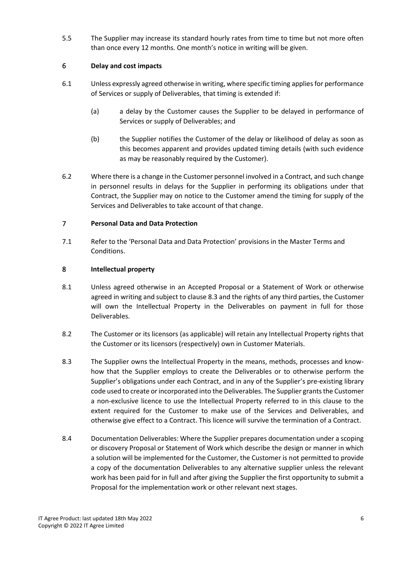5.5 The Supplier may increase its standard hourly rates from time to time but not more often than once every 12 months. One month's notice in writing will be given.

## 6 **Delay and cost impacts**

- 6.1 Unless expressly agreed otherwise in writing, where specific timing applies for performance of Services or supply of Deliverables, that timing is extended if:
	- (a) a delay by the Customer causes the Supplier to be delayed in performance of Services or supply of Deliverables; and
	- (b) the Supplier notifies the Customer of the delay or likelihood of delay as soon as this becomes apparent and provides updated timing details (with such evidence as may be reasonably required by the Customer).
- 6.2 Where there is a change in the Customer personnel involved in a Contract, and such change in personnel results in delays for the Supplier in performing its obligations under that Contract, the Supplier may on notice to the Customer amend the timing for supply of the Services and Deliverables to take account of that change.

## 7 **Personal Data and Data Protection**

7.1 Refer to the 'Personal Data and Data Protection' provisions in the Master Terms and Conditions.

## 8 **Intellectual property**

- 8.1 Unless agreed otherwise in an Accepted Proposal or a Statement of Work or otherwise agreed in writing and subject to clause 8.3 and the rights of any third parties, the Customer will own the Intellectual Property in the Deliverables on payment in full for those Deliverables.
- 8.2 The Customer or its licensors (as applicable) will retain any Intellectual Property rights that the Customer or its licensors (respectively) own in Customer Materials.
- 8.3 The Supplier owns the Intellectual Property in the means, methods, processes and knowhow that the Supplier employs to create the Deliverables or to otherwise perform the Supplier's obligations under each Contract, and in any of the Supplier's pre-existing library code used to create or incorporated into the Deliverables. The Supplier grants the Customer a non-exclusive licence to use the Intellectual Property referred to in this clause to the extent required for the Customer to make use of the Services and Deliverables, and otherwise give effect to a Contract. This licence will survive the termination of a Contract.
- 8.4 Documentation Deliverables: Where the Supplier prepares documentation under a scoping or discovery Proposal or Statement of Work which describe the design or manner in which a solution will be implemented for the Customer, the Customer is not permitted to provide a copy of the documentation Deliverables to any alternative supplier unless the relevant work has been paid for in full and after giving the Supplier the first opportunity to submit a Proposal for the implementation work or other relevant next stages.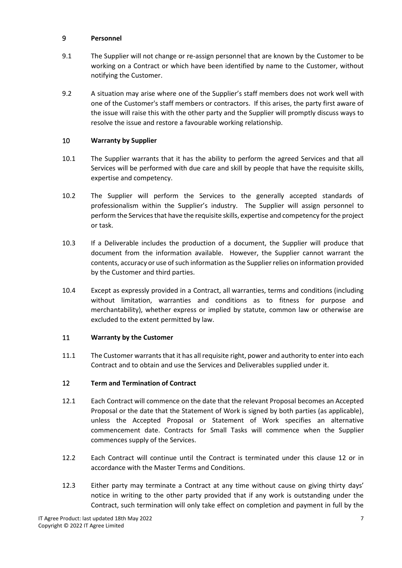## 9 **Personnel**

- 9.1 The Supplier will not change or re-assign personnel that are known by the Customer to be working on a Contract or which have been identified by name to the Customer, without notifying the Customer.
- 9.2 A situation may arise where one of the Supplier's staff members does not work well with one of the Customer's staff members or contractors. If this arises, the party first aware of the issue will raise this with the other party and the Supplier will promptly discuss ways to resolve the issue and restore a favourable working relationship.

## 10 **Warranty by Supplier**

- 10.1 The Supplier warrants that it has the ability to perform the agreed Services and that all Services will be performed with due care and skill by people that have the requisite skills, expertise and competency.
- 10.2 The Supplier will perform the Services to the generally accepted standards of professionalism within the Supplier's industry. The Supplier will assign personnel to perform the Services that have the requisite skills, expertise and competency for the project or task.
- 10.3 If a Deliverable includes the production of a document, the Supplier will produce that document from the information available. However, the Supplier cannot warrant the contents, accuracy or use of such information as the Supplier relies on information provided by the Customer and third parties.
- 10.4 Except as expressly provided in a Contract, all warranties, terms and conditions (including without limitation, warranties and conditions as to fitness for purpose and merchantability), whether express or implied by statute, common law or otherwise are excluded to the extent permitted by law.

## 11 **Warranty by the Customer**

11.1 The Customer warrants that it has all requisite right, power and authority to enter into each Contract and to obtain and use the Services and Deliverables supplied under it.

## 12 **Term and Termination of Contract**

- 12.1 Each Contract will commence on the date that the relevant Proposal becomes an Accepted Proposal or the date that the Statement of Work is signed by both parties (as applicable), unless the Accepted Proposal or Statement of Work specifies an alternative commencement date. Contracts for Small Tasks will commence when the Supplier commences supply of the Services.
- 12.2 Each Contract will continue until the Contract is terminated under this clause 12 or in accordance with the Master Terms and Conditions.
- 12.3 Either party may terminate a Contract at any time without cause on giving thirty days' notice in writing to the other party provided that if any work is outstanding under the Contract, such termination will only take effect on completion and payment in full by the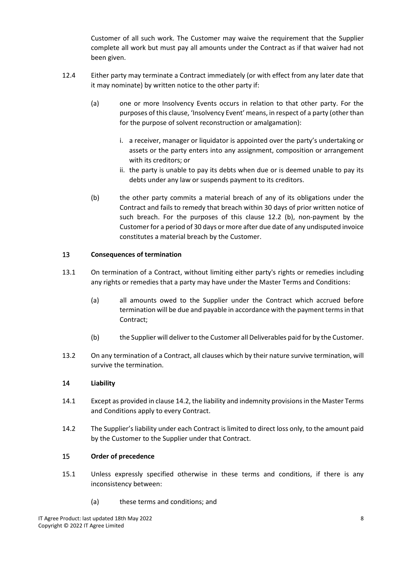Customer of all such work. The Customer may waive the requirement that the Supplier complete all work but must pay all amounts under the Contract as if that waiver had not been given.

- 12.4 Either party may terminate a Contract immediately (or with effect from any later date that it may nominate) by written notice to the other party if:
	- (a) one or more Insolvency Events occurs in relation to that other party. For the purposes of this clause, 'Insolvency Event' means, in respect of a party (other than for the purpose of solvent reconstruction or amalgamation):
		- i. a receiver, manager or liquidator is appointed over the party's undertaking or assets or the party enters into any assignment, composition or arrangement with its creditors; or
		- ii. the party is unable to pay its debts when due or is deemed unable to pay its debts under any law or suspends payment to its creditors.
	- (b) the other party commits a material breach of any of its obligations under the Contract and fails to remedy that breach within 30 days of prior written notice of such breach. For the purposes of this clause 12.2 (b), non-payment by the Customer for a period of 30 days or more after due date of any undisputed invoice constitutes a material breach by the Customer.

## 13 **Consequences of termination**

- 13.1 On termination of a Contract, without limiting either party's rights or remedies including any rights or remedies that a party may have under the Master Terms and Conditions:
	- (a) all amounts owed to the Supplier under the Contract which accrued before termination will be due and payable in accordance with the payment terms in that Contract;
	- (b) the Supplier will deliver to the Customer all Deliverables paid for by the Customer.
- 13.2 On any termination of a Contract, all clauses which by their nature survive termination, will survive the termination.

## 14 **Liability**

- 14.1 Except as provided in clause 14.2, the liability and indemnity provisions in the Master Terms and Conditions apply to every Contract.
- 14.2 The Supplier's liability under each Contract is limited to direct loss only, to the amount paid by the Customer to the Supplier under that Contract.

## 15 **Order of precedence**

- 15.1 Unless expressly specified otherwise in these terms and conditions, if there is any inconsistency between:
	- (a) these terms and conditions; and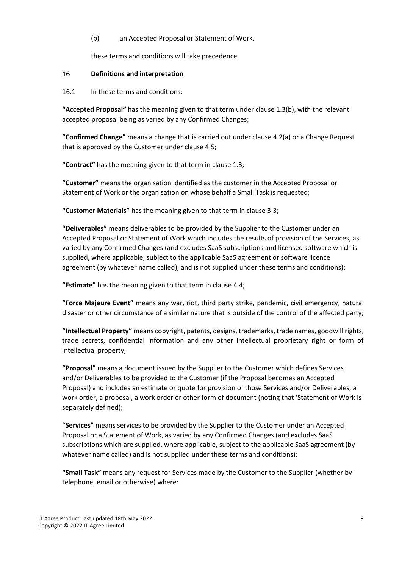#### (b) an Accepted Proposal or Statement of Work,

these terms and conditions will take precedence.

#### 16 **Definitions and interpretation**

#### 16.1 In these terms and conditions:

**"Accepted Proposal"** has the meaning given to that term under clause 1.3(b), with the relevant accepted proposal being as varied by any Confirmed Changes;

**"Confirmed Change"** means a change that is carried out under clause 4.2(a) or a Change Request that is approved by the Customer under clause 4.5;

**"Contract"** has the meaning given to that term in clause 1.3;

**"Customer"** means the organisation identified as the customer in the Accepted Proposal or Statement of Work or the organisation on whose behalf a Small Task is requested;

**"Customer Materials"** has the meaning given to that term in clause 3.3;

**"Deliverables"** means deliverables to be provided by the Supplier to the Customer under an Accepted Proposal or Statement of Work which includes the results of provision of the Services, as varied by any Confirmed Changes (and excludes SaaS subscriptions and licensed software which is supplied, where applicable, subject to the applicable SaaS agreement or software licence agreement (by whatever name called), and is not supplied under these terms and conditions);

**"Estimate"** has the meaning given to that term in clause 4.4;

**"Force Majeure Event"** means any war, riot, third party strike, pandemic, civil emergency, natural disaster or other circumstance of a similar nature that is outside of the control of the affected party;

**"Intellectual Property"** means copyright, patents, designs, trademarks, trade names, goodwill rights, trade secrets, confidential information and any other intellectual proprietary right or form of intellectual property;

**"Proposal"** means a document issued by the Supplier to the Customer which defines Services and/or Deliverables to be provided to the Customer (if the Proposal becomes an Accepted Proposal) and includes an estimate or quote for provision of those Services and/or Deliverables, a work order, a proposal, a work order or other form of document (noting that 'Statement of Work is separately defined);

**"Services"** means services to be provided by the Supplier to the Customer under an Accepted Proposal or a Statement of Work, as varied by any Confirmed Changes (and excludes SaaS subscriptions which are supplied, where applicable, subject to the applicable SaaS agreement (by whatever name called) and is not supplied under these terms and conditions);

**"Small Task"** means any request for Services made by the Customer to the Supplier (whether by telephone, email or otherwise) where: